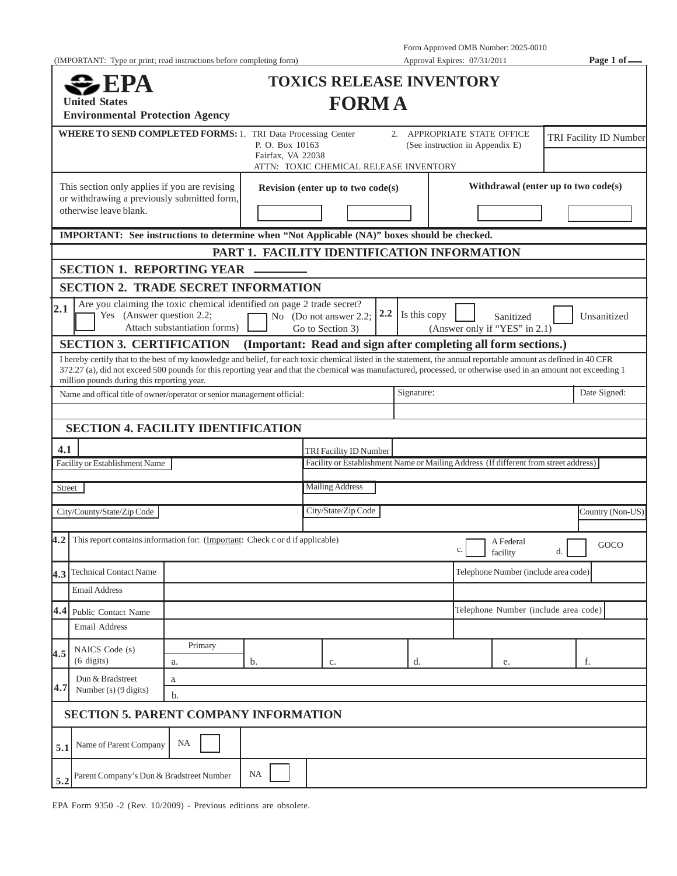(IMPORTANT: Type or print; read instructions before completing form) Approval Expires: 07/31/2011 **Page 1 of**—

Form Approved OMB Number: 2025-0010

| <b>United States</b><br><b>Environmental Protection Agency</b>                                                                                                                                                                                                                                                                                                                    |                                                                                                                                                       |                                   | <b>TOXICS RELEASE INVENTORY</b><br><b>FORMA</b>                |                                                                |                                      |                                      |                        |                                     |                  |  |
|-----------------------------------------------------------------------------------------------------------------------------------------------------------------------------------------------------------------------------------------------------------------------------------------------------------------------------------------------------------------------------------|-------------------------------------------------------------------------------------------------------------------------------------------------------|-----------------------------------|----------------------------------------------------------------|----------------------------------------------------------------|--------------------------------------|--------------------------------------|------------------------|-------------------------------------|------------------|--|
|                                                                                                                                                                                                                                                                                                                                                                                   | <b>WHERE TO SEND COMPLETED FORMS: 1. TRI Data Processing Center</b><br>P. O. Box 10163<br>Fairfax, VA 22038<br>ATTN: TOXIC CHEMICAL RELEASE INVENTORY |                                   |                                                                | 2. APPROPRIATE STATE OFFICE<br>(See instruction in Appendix E) |                                      |                                      | TRI Facility ID Number |                                     |                  |  |
| This section only applies if you are revising<br>or withdrawing a previously submitted form,<br>otherwise leave blank.                                                                                                                                                                                                                                                            |                                                                                                                                                       | Revision (enter up to two code(s) |                                                                |                                                                |                                      |                                      |                        | Withdrawal (enter up to two code(s) |                  |  |
| IMPORTANT: See instructions to determine when "Not Applicable (NA)" boxes should be checked.                                                                                                                                                                                                                                                                                      |                                                                                                                                                       |                                   |                                                                |                                                                |                                      |                                      |                        |                                     |                  |  |
|                                                                                                                                                                                                                                                                                                                                                                                   |                                                                                                                                                       |                                   | PART 1. FACILITY IDENTIFICATION INFORMATION                    |                                                                |                                      |                                      |                        |                                     |                  |  |
| <b>SECTION 1. REPORTING YEAR</b>                                                                                                                                                                                                                                                                                                                                                  |                                                                                                                                                       |                                   |                                                                |                                                                |                                      |                                      |                        |                                     |                  |  |
| <b>SECTION 2. TRADE SECRET INFORMATION</b>                                                                                                                                                                                                                                                                                                                                        |                                                                                                                                                       |                                   |                                                                |                                                                |                                      |                                      |                        |                                     |                  |  |
| 2.1                                                                                                                                                                                                                                                                                                                                                                               | Are you claiming the toxic chemical identified on page 2 trade secret?<br>Yes (Answer question 2.2;<br>Attach substantiation forms)                   |                                   | No (Do not answer 2.2;<br>Go to Section 3)                     | 2.2                                                            | Is this copy                         | (Answer only if "YES" in 2.1)        | Sanitized              |                                     | Unsanitized      |  |
| <b>SECTION 3. CERTIFICATION</b>                                                                                                                                                                                                                                                                                                                                                   |                                                                                                                                                       |                                   | (Important: Read and sign after completing all form sections.) |                                                                |                                      |                                      |                        |                                     |                  |  |
| I hereby certify that to the best of my knowledge and belief, for each toxic chemical listed in the statement, the annual reportable amount as defined in 40 CFR<br>372.27 (a), did not exceed 500 pounds for this reporting year and that the chemical was manufactured, processed, or otherwise used in an amount not exceeding 1<br>million pounds during this reporting year. |                                                                                                                                                       |                                   |                                                                |                                                                |                                      |                                      |                        |                                     |                  |  |
| Name and offical title of owner/operator or senior management official:                                                                                                                                                                                                                                                                                                           |                                                                                                                                                       |                                   | Signature:                                                     |                                                                |                                      |                                      |                        |                                     | Date Signed:     |  |
|                                                                                                                                                                                                                                                                                                                                                                                   |                                                                                                                                                       |                                   |                                                                |                                                                |                                      |                                      |                        |                                     |                  |  |
| <b>SECTION 4. FACILITY IDENTIFICATION</b>                                                                                                                                                                                                                                                                                                                                         |                                                                                                                                                       |                                   |                                                                |                                                                |                                      |                                      |                        |                                     |                  |  |
| 4.1                                                                                                                                                                                                                                                                                                                                                                               |                                                                                                                                                       |                                   | TRI Facility ID Number                                         |                                                                |                                      |                                      |                        |                                     |                  |  |
| Facility or Establishment Name                                                                                                                                                                                                                                                                                                                                                    | Facility or Establishment Name or Mailing Address (If different from street address)                                                                  |                                   |                                                                |                                                                |                                      |                                      |                        |                                     |                  |  |
| Street                                                                                                                                                                                                                                                                                                                                                                            |                                                                                                                                                       |                                   | <b>Mailing Address</b>                                         |                                                                |                                      |                                      |                        |                                     |                  |  |
|                                                                                                                                                                                                                                                                                                                                                                                   |                                                                                                                                                       |                                   | City/State/Zip Code                                            |                                                                |                                      |                                      |                        |                                     |                  |  |
| City/County/State/Zip Code                                                                                                                                                                                                                                                                                                                                                        |                                                                                                                                                       |                                   |                                                                |                                                                |                                      |                                      |                        |                                     | Country (Non-US) |  |
| This report contains information for: (Important: Check c or d if applicable)<br>4.2                                                                                                                                                                                                                                                                                              | A Federal<br>facility                                                                                                                                 |                                   |                                                                |                                                                |                                      | d.                                   | GOCO                   |                                     |                  |  |
| <b>Technical Contact Name</b><br>4.3                                                                                                                                                                                                                                                                                                                                              |                                                                                                                                                       |                                   |                                                                |                                                                | Telephone Number (include area code) |                                      |                        |                                     |                  |  |
| <b>Email Address</b>                                                                                                                                                                                                                                                                                                                                                              |                                                                                                                                                       |                                   |                                                                |                                                                |                                      |                                      |                        |                                     |                  |  |
| 4.4<br>Public Contact Name                                                                                                                                                                                                                                                                                                                                                        |                                                                                                                                                       |                                   |                                                                |                                                                |                                      | Telephone Number (include area code) |                        |                                     |                  |  |
| <b>Email Address</b>                                                                                                                                                                                                                                                                                                                                                              |                                                                                                                                                       |                                   |                                                                |                                                                |                                      |                                      |                        |                                     |                  |  |
| NAICS Code (s)<br>4.5<br>$(6 \text{ digits})$                                                                                                                                                                                                                                                                                                                                     | Primary<br>a.                                                                                                                                         | b.                                | c.                                                             |                                                                | d.                                   |                                      | е.                     |                                     | f.               |  |
| Dun & Bradstreet                                                                                                                                                                                                                                                                                                                                                                  | a                                                                                                                                                     |                                   |                                                                |                                                                |                                      |                                      |                        |                                     |                  |  |
| 4.7<br>Number $(s)$ (9 digits)                                                                                                                                                                                                                                                                                                                                                    | b.                                                                                                                                                    |                                   |                                                                |                                                                |                                      |                                      |                        |                                     |                  |  |
| <b>SECTION 5. PARENT COMPANY INFORMATION</b>                                                                                                                                                                                                                                                                                                                                      |                                                                                                                                                       |                                   |                                                                |                                                                |                                      |                                      |                        |                                     |                  |  |
| Name of Parent Company<br>5.1                                                                                                                                                                                                                                                                                                                                                     | NA                                                                                                                                                    |                                   |                                                                |                                                                |                                      |                                      |                        |                                     |                  |  |
| Parent Company's Dun & Bradstreet Number<br>5.2                                                                                                                                                                                                                                                                                                                                   |                                                                                                                                                       | <b>NA</b>                         |                                                                |                                                                |                                      |                                      |                        |                                     |                  |  |

EPA Form 9350 -2 (Rev. 10/2009) - Previous editions are obsolete.